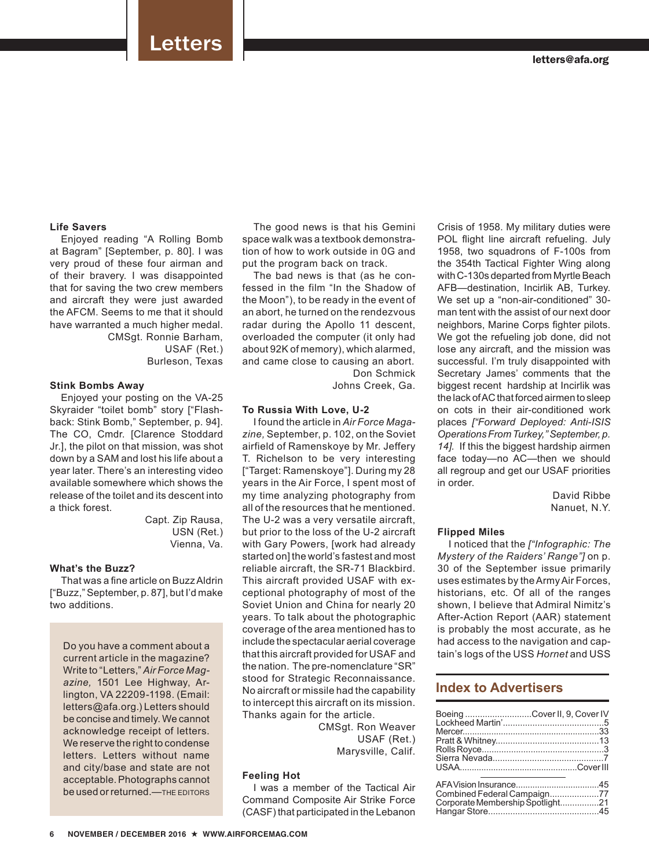# Letters

# **Life Savers**

Enjoyed reading "A Rolling Bomb at Bagram" [September, p. 80]. I was very proud of these four airman and of their bravery. I was disappointed that for saving the two crew members and aircraft they were just awarded the AFCM. Seems to me that it should have warranted a much higher medal. CMSgt. Ronnie Barham,

USAF (Ret.) Burleson, Texas

### **Stink Bombs Away**

Enjoyed your posting on the VA-25 Skyraider "toilet bomb" story ["Flashback: Stink Bomb," September, p. 94]. The CO, Cmdr. [Clarence Stoddard Jr.], the pilot on that mission, was shot down by a SAM and lost his life about a year later. There's an interesting video available somewhere which shows the release of the toilet and its descent into a thick forest.

> Capt. Zip Rausa, USN (Ret.) Vienna, Va.

## **What's the Buzz?**

That was a fine article on Buzz Aldrin ["Buzz," September, p. 87], but I'd make two additions.

Do you have a comment about a current article in the magazine? Write to "Letters," *Air Force Magazine,* 1501 Lee Highway, Arlington, VA 22209-1198. (Email: letters@afa.org.) Letters should be concise and timely. We cannot acknowledge receipt of letters. We reserve the right to condense letters. Letters without name and city/base and state are not acceptable. Photographs cannot be used or returned.—THE EDITORS

The good news is that his Gemini space walk was a textbook demonstration of how to work outside in 0G and put the program back on track.

The bad news is that (as he confessed in the film "In the Shadow of the Moon"), to be ready in the event of an abort, he turned on the rendezvous radar during the Apollo 11 descent, overloaded the computer (it only had about 92K of memory), which alarmed, and came close to causing an abort. Don Schmick

Johns Creek, Ga.

### **To Russia With Love, U-2**

I found the article in *Air Force Magazine,* September, p. 102, on the Soviet airfield of Ramenskoye by Mr. Jeffery T. Richelson to be very interesting ["Target: Ramenskoye"]. During my 28 years in the Air Force, I spent most of my time analyzing photography from all of the resources that he mentioned. The U-2 was a very versatile aircraft, but prior to the loss of the U-2 aircraft with Gary Powers, [work had already started on] the world's fastest and most reliable aircraft, the SR-71 Blackbird. This aircraft provided USAF with exceptional photography of most of the Soviet Union and China for nearly 20 years. To talk about the photographic coverage of the area mentioned has to include the spectacular aerial coverage that this aircraft provided for USAF and the nation. The pre-nomenclature "SR" stood for Strategic Reconnaissance. No aircraft or missile had the capability to intercept this aircraft on its mission. Thanks again for the article.

> CMSgt. Ron Weaver USAF (Ret.) Marysville, Calif.

### **Feeling Hot**

I was a member of the Tactical Air Command Composite Air Strike Force (CASF) that participated in the Lebanon Crisis of 1958. My military duties were POL flight line aircraft refueling. July 1958, two squadrons of F-100s from the 354th Tactical Fighter Wing along with C-130s departed from Myrtle Beach AFB—destination, Incirlik AB, Turkey. We set up a "non-air-conditioned" 30 man tent with the assist of our next door neighbors, Marine Corps fighter pilots. We got the refueling job done, did not lose any aircraft, and the mission was successful. I'm truly disappointed with Secretary James' comments that the biggest recent hardship at Incirlik was the lack of AC that forced airmen to sleep on cots in their air-conditioned work places *["Forward Deployed: Anti-ISIS Operations From Turkey," September, p. 14].* If this the biggest hardship airmen face today—no AC—then we should all regroup and get our USAF priorities in order.

> David Ribbe Nanuet, N.Y.

### **Flipped Miles**

I noticed that the *["Infographic: The Mystery of the Raiders' Range"]* on p. 30 of the September issue primarily uses estimates by the Army Air Forces, historians, etc. Of all of the ranges shown, I believe that Admiral Nimitz's After-Action Report (AAR) statement is probably the most accurate, as he had access to the navigation and captain's logs of the USS *Hornet* and USS

# **Index to Advertisers**

| Boeing Cover II, 9, Cover IV     |  |
|----------------------------------|--|
|                                  |  |
|                                  |  |
|                                  |  |
|                                  |  |
|                                  |  |
| Corporate Membership Spotlight21 |  |
|                                  |  |